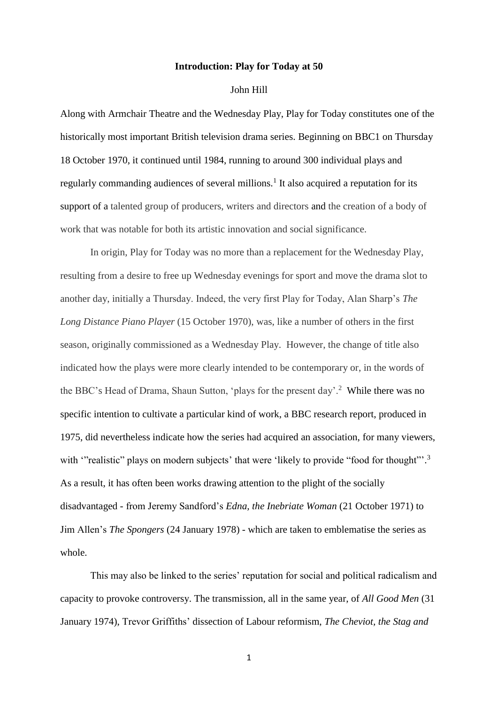## **Introduction: Play for Today at 50**

## John Hill

Along with Armchair Theatre and the Wednesday Play, Play for Today constitutes one of the historically most important British television drama series. Beginning on BBC1 on Thursday 18 October 1970, it continued until 1984, running to around 300 individual plays and regularly commanding audiences of several millions.<sup>1</sup> It also acquired a reputation for its support of a talented group of producers, writers and directors and the creation of a body of work that was notable for both its artistic innovation and social significance.

In origin, Play for Today was no more than a replacement for the Wednesday Play, resulting from a desire to free up Wednesday evenings for sport and move the drama slot to another day, initially a Thursday. Indeed, the very first Play for Today, Alan Sharp's *The Long Distance Piano Player* (15 October 1970), was, like a number of others in the first season, originally commissioned as a Wednesday Play. However, the change of title also indicated how the plays were more clearly intended to be contemporary or, in the words of the BBC's Head of Drama, Shaun Sutton, 'plays for the present day'.<sup>2</sup> While there was no specific intention to cultivate a particular kind of work, a BBC research report, produced in 1975, did nevertheless indicate how the series had acquired an association, for many viewers, with "realistic" plays on modern subjects' that were 'likely to provide "food for thought".<sup>3</sup> As a result, it has often been works drawing attention to the plight of the socially disadvantaged - from Jeremy Sandford's *Edna, the Inebriate Woman* (21 October 1971) to Jim Allen's *The Spongers* (24 January 1978) - which are taken to emblematise the series as whole.

This may also be linked to the series' reputation for social and political radicalism and capacity to provoke controversy. The transmission, all in the same year, of *All Good Men* (31 January 1974), Trevor Griffiths' dissection of Labour reformism, *The Cheviot, the Stag and*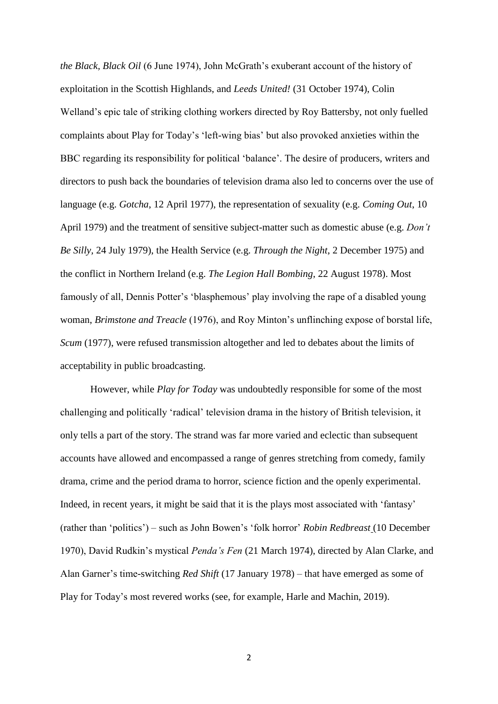*the Black, Black Oil* (6 June 1974), John McGrath's exuberant account of the history of exploitation in the Scottish Highlands, and *Leeds United!* (31 October 1974), Colin Welland's epic tale of striking clothing workers directed by Roy Battersby, not only fuelled complaints about Play for Today's 'left-wing bias' but also provoked anxieties within the BBC regarding its responsibility for political 'balance'. The desire of producers, writers and directors to push back the boundaries of television drama also led to concerns over the use of language (e.g. *Gotcha*, 12 April 1977), the representation of sexuality (e.g. *Coming Out*, 10 April 1979) and the treatment of sensitive subject-matter such as domestic abuse (e.g. *Don't Be Silly,* 24 July 1979), the Health Service (e.g. *Through the Night*, 2 December 1975) and the conflict in Northern Ireland (e.g. *The Legion Hall Bombing*, 22 August 1978). Most famously of all, Dennis Potter's 'blasphemous' play involving the rape of a disabled young woman, *Brimstone and Treacle* (1976), and Roy Minton's unflinching expose of borstal life, *Scum* (1977), were refused transmission altogether and led to debates about the limits of acceptability in public broadcasting.

However, while *Play for Today* was undoubtedly responsible for some of the most challenging and politically 'radical' television drama in the history of British television, it only tells a part of the story. The strand was far more varied and eclectic than subsequent accounts have allowed and encompassed a range of genres stretching from comedy, family drama, crime and the period drama to horror, science fiction and the openly experimental. Indeed, in recent years, it might be said that it is the plays most associated with 'fantasy' (rather than 'politics') – such as John Bowen's 'folk horror' *Robin Redbreast* (10 December 1970), David Rudkin's mystical *Penda's Fen* (21 March 1974), directed by Alan Clarke, and Alan Garner's time-switching *Red Shift* (17 January 1978) – that have emerged as some of Play for Today's most revered works (see, for example, Harle and Machin, 2019).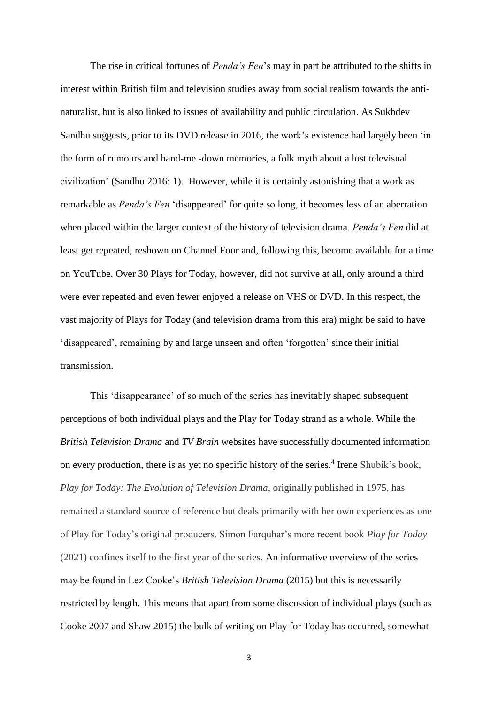The rise in critical fortunes of *Penda's Fen*'s may in part be attributed to the shifts in interest within British film and television studies away from social realism towards the antinaturalist, but is also linked to issues of availability and public circulation. As Sukhdev Sandhu suggests, prior to its DVD release in 2016, the work's existence had largely been 'in the form of rumours and hand-me -down memories, a folk myth about a lost televisual civilization' (Sandhu 2016: 1). However, while it is certainly astonishing that a work as remarkable as *Penda's Fen* 'disappeared' for quite so long, it becomes less of an aberration when placed within the larger context of the history of television drama. *Penda's Fen* did at least get repeated, reshown on Channel Four and, following this, become available for a time on YouTube. Over 30 Plays for Today, however, did not survive at all, only around a third were ever repeated and even fewer enjoyed a release on VHS or DVD. In this respect, the vast majority of Plays for Today (and television drama from this era) might be said to have 'disappeared', remaining by and large unseen and often 'forgotten' since their initial transmission.

This 'disappearance' of so much of the series has inevitably shaped subsequent perceptions of both individual plays and the Play for Today strand as a whole. While the *British Television Drama* and *TV Brain* websites have successfully documented information on every production, there is as yet no specific history of the series. 4 Irene Shubik's book, *Play for Today: The Evolution of Television Drama*, originally published in 1975, has remained a standard source of reference but deals primarily with her own experiences as one of Play for Today's original producers. Simon Farquhar's more recent book *Play for Today* (2021) confines itself to the first year of the series. An informative overview of the series may be found in Lez Cooke's *British Television Drama* (2015) but this is necessarily restricted by length. This means that apart from some discussion of individual plays (such as Cooke 2007 and Shaw 2015) the bulk of writing on Play for Today has occurred, somewhat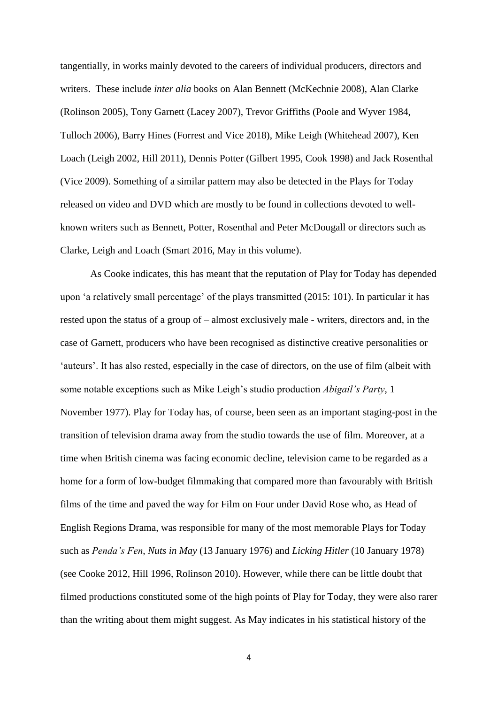tangentially, in works mainly devoted to the careers of individual producers, directors and writers. These include *inter alia* books on Alan Bennett (McKechnie 2008), Alan Clarke (Rolinson 2005), Tony Garnett (Lacey 2007), Trevor Griffiths (Poole and Wyver 1984, Tulloch 2006), Barry Hines (Forrest and Vice 2018), Mike Leigh (Whitehead 2007), Ken Loach (Leigh 2002, Hill 2011), Dennis Potter (Gilbert 1995, Cook 1998) and Jack Rosenthal (Vice 2009). Something of a similar pattern may also be detected in the Plays for Today released on video and DVD which are mostly to be found in collections devoted to wellknown writers such as Bennett, Potter, Rosenthal and Peter McDougall or directors such as Clarke, Leigh and Loach (Smart 2016, May in this volume).

As Cooke indicates, this has meant that the reputation of Play for Today has depended upon 'a relatively small percentage' of the plays transmitted (2015: 101). In particular it has rested upon the status of a group of – almost exclusively male - writers, directors and, in the case of Garnett, producers who have been recognised as distinctive creative personalities or 'auteurs'. It has also rested, especially in the case of directors, on the use of film (albeit with some notable exceptions such as Mike Leigh's studio production *Abigail's Party*, 1 November 1977). Play for Today has, of course, been seen as an important staging-post in the transition of television drama away from the studio towards the use of film. Moreover, at a time when British cinema was facing economic decline, television came to be regarded as a home for a form of low-budget filmmaking that compared more than favourably with British films of the time and paved the way for Film on Four under David Rose who, as Head of English Regions Drama, was responsible for many of the most memorable Plays for Today such as *Penda's Fen*, *Nuts in May* (13 January 1976) and *Licking Hitler* (10 January 1978) (see Cooke 2012, Hill 1996, Rolinson 2010). However, while there can be little doubt that filmed productions constituted some of the high points of Play for Today, they were also rarer than the writing about them might suggest. As May indicates in his statistical history of the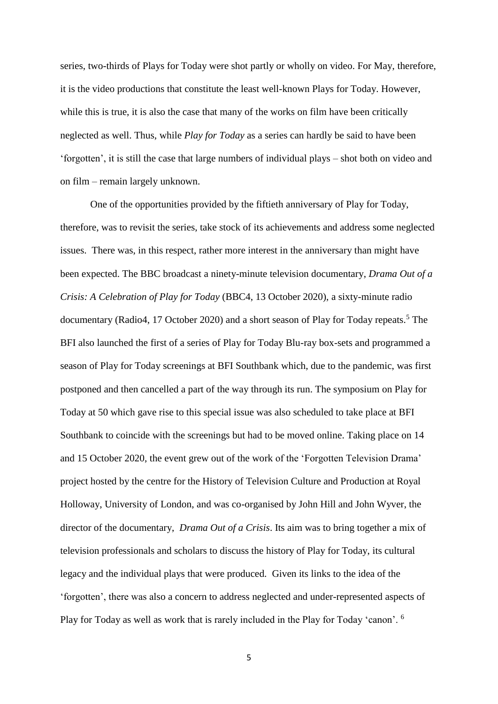series, two-thirds of Plays for Today were shot partly or wholly on video. For May, therefore, it is the video productions that constitute the least well-known Plays for Today. However, while this is true, it is also the case that many of the works on film have been critically neglected as well. Thus, while *Play for Today* as a series can hardly be said to have been 'forgotten', it is still the case that large numbers of individual plays – shot both on video and on film – remain largely unknown.

One of the opportunities provided by the fiftieth anniversary of Play for Today, therefore, was to revisit the series, take stock of its achievements and address some neglected issues. There was, in this respect, rather more interest in the anniversary than might have been expected. The BBC broadcast a ninety-minute television documentary, *Drama Out of a Crisis: A Celebration of Play for Today* (BBC4, 13 October 2020), a sixty-minute radio documentary (Radio4, 17 October 2020) and a short season of Play for Today repeats.<sup>5</sup> The BFI also launched the first of a series of Play for Today Blu-ray box-sets and programmed a season of Play for Today screenings at BFI Southbank which, due to the pandemic, was first postponed and then cancelled a part of the way through its run. The symposium on Play for Today at 50 which gave rise to this special issue was also scheduled to take place at BFI Southbank to coincide with the screenings but had to be moved online. Taking place on 14 and 15 October 2020, the event grew out of the work of the 'Forgotten Television Drama' project hosted by the centre for the History of Television Culture and Production at Royal Holloway, University of London, and was co-organised by John Hill and John Wyver, the director of the documentary, *Drama Out of a Crisis*. Its aim was to bring together a mix of television professionals and scholars to discuss the history of Play for Today, its cultural legacy and the individual plays that were produced. Given its links to the idea of the 'forgotten', there was also a concern to address neglected and under-represented aspects of Play for Today as well as work that is rarely included in the Play for Today 'canon'. <sup>6</sup>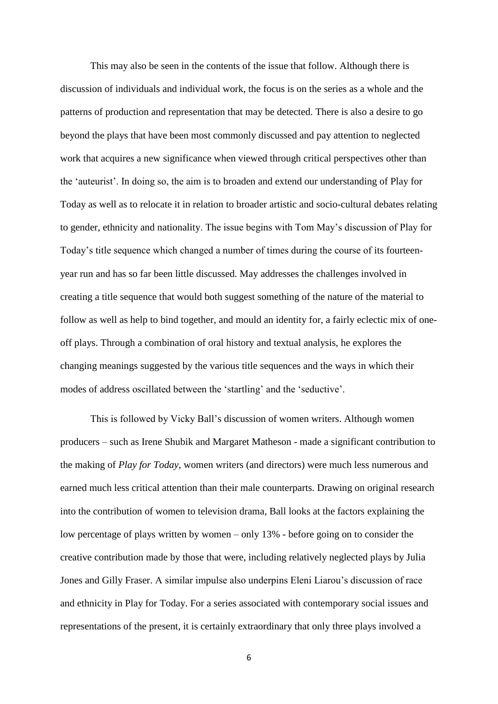This may also be seen in the contents of the issue that follow. Although there is discussion of individuals and individual work, the focus is on the series as a whole and the patterns of production and representation that may be detected. There is also a desire to go beyond the plays that have been most commonly discussed and pay attention to neglected work that acquires a new significance when viewed through critical perspectives other than the 'auteurist'. In doing so, the aim is to broaden and extend our understanding of Play for Today as well as to relocate it in relation to broader artistic and socio-cultural debates relating to gender, ethnicity and nationality. The issue begins with Tom May's discussion of Play for Today's title sequence which changed a number of times during the course of its fourteenyear run and has so far been little discussed. May addresses the challenges involved in creating a title sequence that would both suggest something of the nature of the material to follow as well as help to bind together, and mould an identity for, a fairly eclectic mix of oneoff plays. Through a combination of oral history and textual analysis, he explores the changing meanings suggested by the various title sequences and the ways in which their modes of address oscillated between the 'startling' and the 'seductive'.

This is followed by Vicky Ball's discussion of women writers. Although women producers – such as Irene Shubik and Margaret Matheson - made a significant contribution to the making of *Play for Today*, women writers (and directors) were much less numerous and earned much less critical attention than their male counterparts. Drawing on original research into the contribution of women to television drama, Ball looks at the factors explaining the low percentage of plays written by women – only 13% - before going on to consider the creative contribution made by those that were, including relatively neglected plays by Julia Jones and Gilly Fraser. A similar impulse also underpins Eleni Liarou's discussion of race and ethnicity in Play for Today. For a series associated with contemporary social issues and representations of the present, it is certainly extraordinary that only three plays involved a

<sup>6</sup>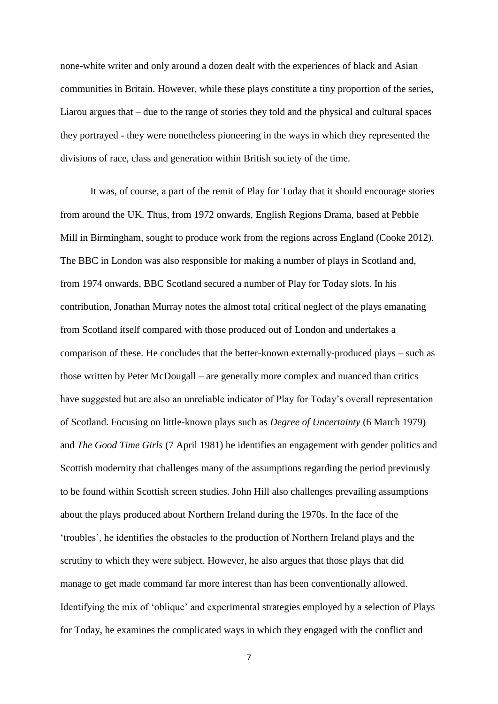none-white writer and only around a dozen dealt with the experiences of black and Asian communities in Britain. However, while these plays constitute a tiny proportion of the series, Liarou argues that – due to the range of stories they told and the physical and cultural spaces they portrayed - they were nonetheless pioneering in the ways in which they represented the divisions of race, class and generation within British society of the time.

It was, of course, a part of the remit of Play for Today that it should encourage stories from around the UK. Thus, from 1972 onwards, English Regions Drama, based at Pebble Mill in Birmingham, sought to produce work from the regions across England (Cooke 2012). The BBC in London was also responsible for making a number of plays in Scotland and, from 1974 onwards, BBC Scotland secured a number of Play for Today slots. In his contribution, Jonathan Murray notes the almost total critical neglect of the plays emanating from Scotland itself compared with those produced out of London and undertakes a comparison of these. He concludes that the better-known externally-produced plays – such as those written by Peter McDougall – are generally more complex and nuanced than critics have suggested but are also an unreliable indicator of Play for Today's overall representation of Scotland. Focusing on little-known plays such as *Degree of Uncertainty* (6 March 1979) and *The Good Time Girls* (7 April 1981) he identifies an engagement with gender politics and Scottish modernity that challenges many of the assumptions regarding the period previously to be found within Scottish screen studies. John Hill also challenges prevailing assumptions about the plays produced about Northern Ireland during the 1970s. In the face of the 'troubles', he identifies the obstacles to the production of Northern Ireland plays and the scrutiny to which they were subject. However, he also argues that those plays that did manage to get made command far more interest than has been conventionally allowed. Identifying the mix of 'oblique' and experimental strategies employed by a selection of Plays for Today, he examines the complicated ways in which they engaged with the conflict and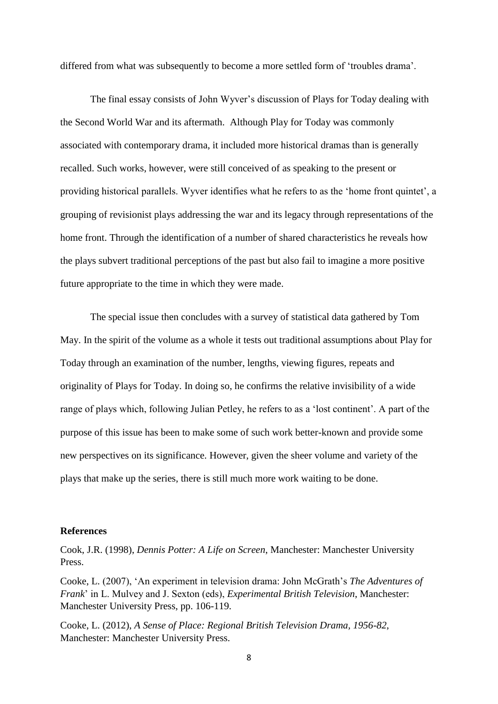differed from what was subsequently to become a more settled form of 'troubles drama'.

The final essay consists of John Wyver's discussion of Plays for Today dealing with the Second World War and its aftermath. Although Play for Today was commonly associated with contemporary drama, it included more historical dramas than is generally recalled. Such works, however, were still conceived of as speaking to the present or providing historical parallels. Wyver identifies what he refers to as the 'home front quintet', a grouping of revisionist plays addressing the war and its legacy through representations of the home front. Through the identification of a number of shared characteristics he reveals how the plays subvert traditional perceptions of the past but also fail to imagine a more positive future appropriate to the time in which they were made.

The special issue then concludes with a survey of statistical data gathered by Tom May. In the spirit of the volume as a whole it tests out traditional assumptions about Play for Today through an examination of the number, lengths, viewing figures, repeats and originality of Plays for Today. In doing so, he confirms the relative invisibility of a wide range of plays which, following Julian Petley, he refers to as a 'lost continent'. A part of the purpose of this issue has been to make some of such work better-known and provide some new perspectives on its significance. However, given the sheer volume and variety of the plays that make up the series, there is still much more work waiting to be done.

## **References**

Cook, J.R. (1998), *Dennis Potter: A Life on Screen*, Manchester: Manchester University Press.

Cooke, L. (2007), 'An experiment in television drama: John McGrath's *The Adventures of Frank*' in L. Mulvey and J. Sexton (eds), *Experimental British Television*, Manchester: Manchester University Press, pp. 106-119.

Cooke, L. (2012), *A Sense of Place: Regional British Television Drama, 1956-82*, Manchester: Manchester University Press.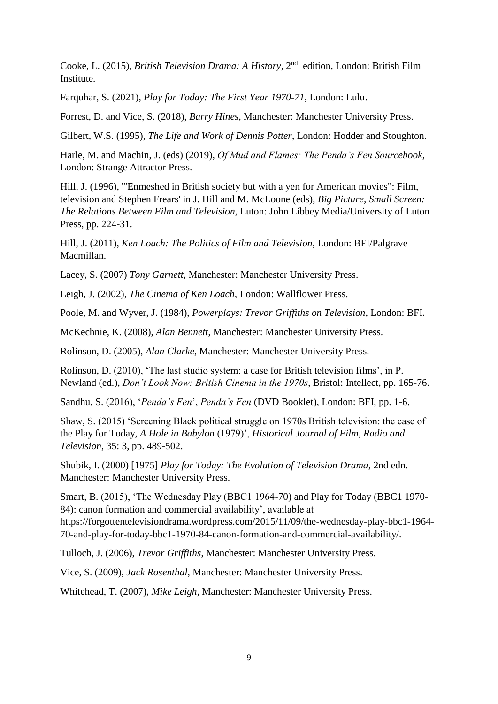Cooke, L. (2015), *British Television Drama: A History*, 2nd edition, London: British Film Institute.

Farquhar, S. (2021), *Play for Today: The First Year 1970-71*, London: Lulu.

Forrest, D. and Vice, S. (2018), *Barry Hines*, Manchester: Manchester University Press.

Gilbert, W.S. (1995), *The Life and Work of Dennis Potter*, London: Hodder and Stoughton.

Harle, M. and Machin, J. (eds) (2019), *Of Mud and Flames: The Penda's Fen Sourcebook*, London: Strange Attractor Press.

Hill, J. (1996), '"Enmeshed in British society but with a yen for American movies": Film, television and Stephen Frears' in J. Hill and M. McLoone (eds), *Big Picture, Small Screen: The Relations Between Film and Television*, Luton: John Libbey Media/University of Luton Press, pp. 224-31.

Hill, J. (2011), *Ken Loach: The Politics of Film and Television*, London: BFI/Palgrave Macmillan.

Lacey, S. (2007) *Tony Garnett*, Manchester: Manchester University Press.

Leigh, J. (2002), *The Cinema of Ken Loach,* London: Wallflower Press.

Poole, M. and Wyver, J. (1984), *Powerplays: Trevor Griffiths on Television*, London: BFI.

McKechnie, K. (2008), *Alan Bennett*, Manchester: Manchester University Press.

Rolinson, D. (2005), *Alan Clarke*, Manchester: Manchester University Press.

Rolinson, D. (2010), 'The last studio system: a case for British television films', in P. Newland (ed.), *Don't Look Now: British Cinema in the 1970s*, Bristol: Intellect, pp. 165-76.

Sandhu, S. (2016), '*Penda's Fen*', *Penda's Fen* (DVD Booklet), London: BFI, pp. 1-6.

Shaw, S. (2015) 'Screening Black political struggle on 1970s British television: the case of the Play for Today, *A Hole in Babylon* (1979)', *Historical Journal of Film, Radio and Television*, 35: 3, pp. 489-502.

Shubik, I. (2000) [1975] *Play for Today: The Evolution of Television Drama*, 2nd edn. Manchester: Manchester University Press.

Smart, B. (2015), 'The Wednesday Play (BBC1 1964-70) and Play for Today (BBC1 1970- 84): canon formation and commercial availability', available at https://forgottentelevisiondrama.wordpress.com/2015/11/09/the-wednesday-play-bbc1-1964- 70-and-play-for-today-bbc1-1970-84-canon-formation-and-commercial-availability/.

Tulloch, J. (2006), *Trevor Griffiths*, Manchester: Manchester University Press.

Vice, S. (2009), *Jack Rosenthal*, Manchester: Manchester University Press.

Whitehead, T. (2007), *Mike Leigh*, Manchester: Manchester University Press.